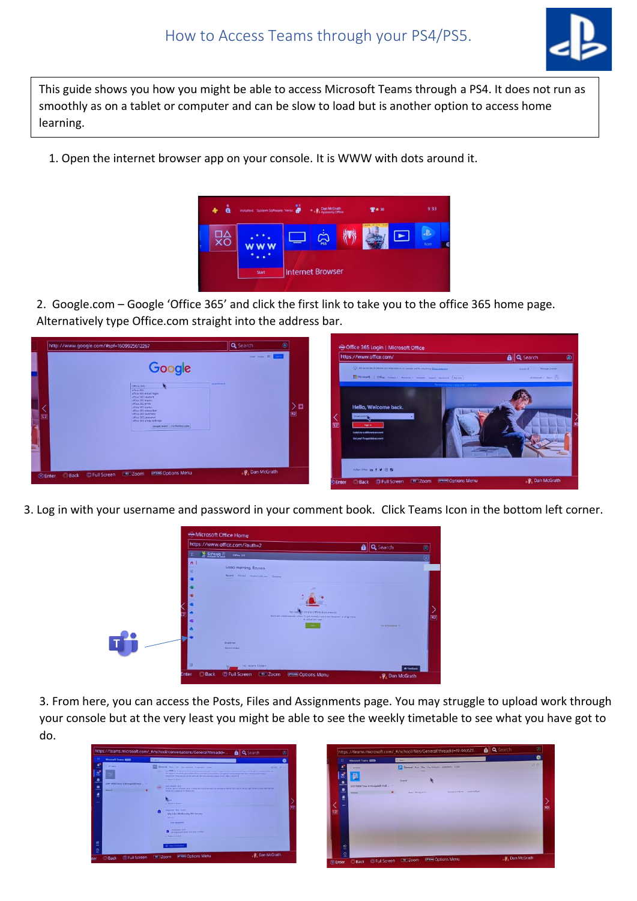

This guide shows you how you might be able to access Microsoft Teams through a PS4. It does not run as smoothly as on a tablet or computer and can be slow to load but is another option to access home learning.

1. Open the internet browser app on your console. It is WWW with dots around it.



2. Google.com – Google 'Office 365' and click the first link to take you to the office 365 home page. Alternatively type Office.com straight into the address bar.



3. Log in with your username and password in your comment book. Click Teams Icon in the bottom left corner.



3. From here, you can access the Posts, Files and Assignments page. You may struggle to upload work through your console but at the very least you might be able to see the weekly timetable to see what you have got to do.



| $\mathbf{H}$   | Microsoft Teams               | O. Seen                                                              | e  |
|----------------|-------------------------------|----------------------------------------------------------------------|----|
| 흐<br>٠         | C. All teams<br>B             | 5 General Fort files Continuous Assignments Bratist                  | 20 |
| e              | GRP HEM Year 5 Hampshill Hall | <b>General</b>                                                       |    |
| 르<br>ë         | <b>General</b>                | Monday of ASE PM Characterizate<br>$\bullet$<br>Want 1 MK beg 8 1.21 |    |
| $\cdots$       |                               |                                                                      |    |
| œ              |                               |                                                                      |    |
|                |                               |                                                                      |    |
|                |                               |                                                                      |    |
| Ë              |                               |                                                                      |    |
| $\overline{2}$ |                               |                                                                      |    |